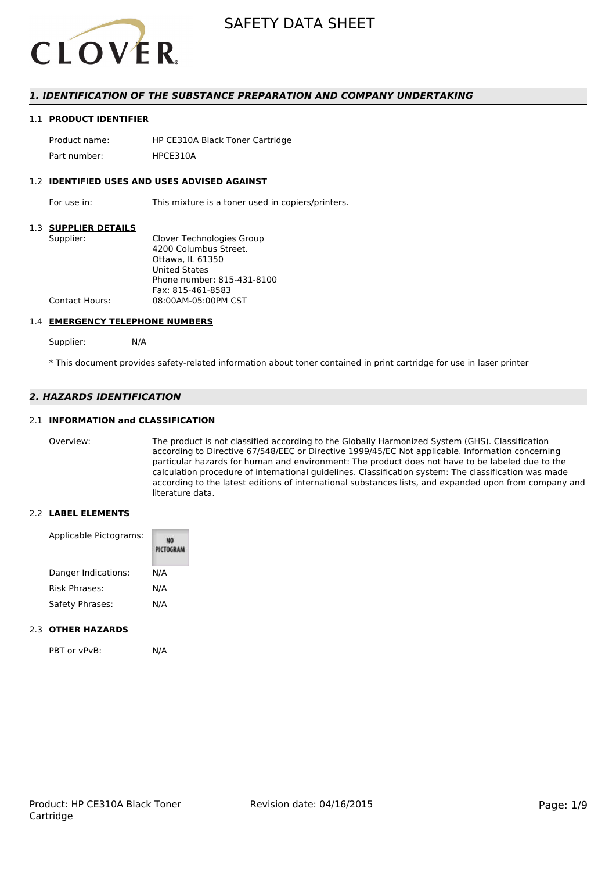

#### *1. IDENTIFICATION OF THE SUBSTANCE PREPARATION AND COMPANY UNDERTAKING*

#### 1.1 **PRODUCT IDENTIFIER**

Product name: HP CE310A Black Toner Cartridge Part number: HPCE310A

#### 1.2 **IDENTIFIED USES AND USES ADVISED AGAINST**

For use in: This mixture is a toner used in copiers/printers.

#### 1.3 **SUPPLIER DETAILS**

| Supplier:             | Clover Technologies Group  |
|-----------------------|----------------------------|
|                       | 4200 Columbus Street.      |
|                       | Ottawa. IL 61350           |
|                       | <b>United States</b>       |
|                       | Phone number: 815-431-8100 |
|                       | Fax: 815-461-8583          |
| <b>Contact Hours:</b> | 08:00AM-05:00PM CST        |
|                       |                            |

#### 1.4 **EMERGENCY TELEPHONE NUMBERS**

Supplier: N/A

\* This document provides safety-related information about toner contained in print cartridge for use in laser printer

#### *2. HAZARDS IDENTIFICATION*

#### 2.1 **INFORMATION and CLASSIFICATION**

Overview: The product is not classified according to the Globally Harmonized System (GHS). Classification according to Directive 67/548/EEC or Directive 1999/45/EC Not applicable. Information concerning particular hazards for human and environment: The product does not have to be labeled due to the calculation procedure of international guidelines. Classification system: The classification was made according to the latest editions of international substances lists, and expanded upon from company and literature data.

#### 2.2 **LABEL ELEMENTS**

| Applicable Pictograms: | PICTOGRAM |
|------------------------|-----------|
| Danger Indications:    | N/A       |
| Risk Phrases:          | N/A       |
| Safety Phrases:        | N/A       |

#### 2.3 **OTHER HAZARDS**

PBT or vPvB: N/A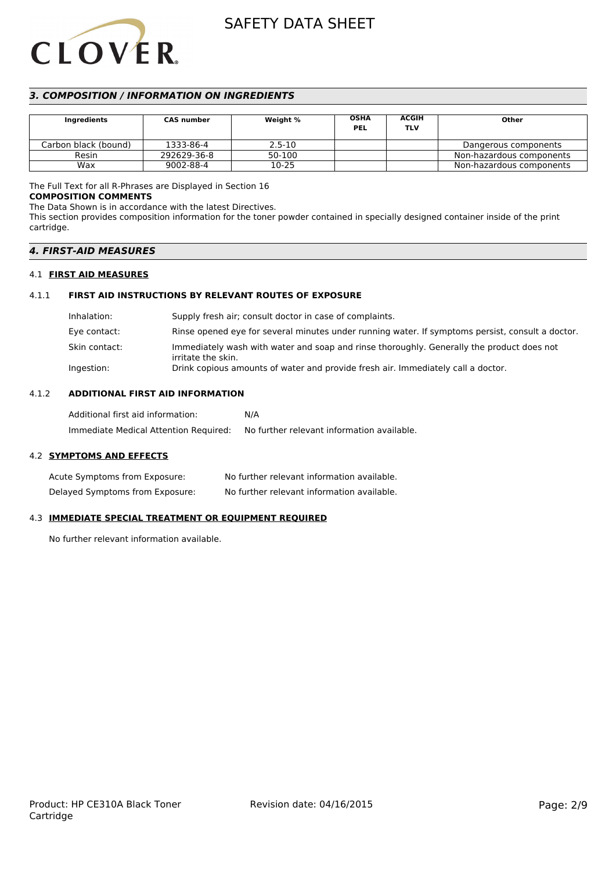# **CLOVER**

## SAFETY DATA SHEET

### *3. COMPOSITION / INFORMATION ON INGREDIENTS*

| Ingredients          | <b>CAS number</b> | Weight %   | <b>OSHA</b><br><b>PEL</b> | <b>ACGIH</b><br>TLV | Other                    |
|----------------------|-------------------|------------|---------------------------|---------------------|--------------------------|
| Carbon black (bound) | 1333-86-4         | $2.5 - 10$ |                           |                     | Dangerous components     |
| Resin                | 292629-36-8       | 50-100     |                           |                     | Non-hazardous components |
| Wax                  | 9002-88-4         | 10-25      |                           |                     | Non-hazardous components |

#### The Full Text for all R-Phrases are Displayed in Section 16

#### **COMPOSITION COMMENTS**

The Data Shown is in accordance with the latest Directives.

This section provides composition information for the toner powder contained in specially designed container inside of the print cartridge.

#### *4. FIRST-AID MEASURES*

#### 4.1 **FIRST AID MEASURES**

#### 4.1.1 **FIRST AID INSTRUCTIONS BY RELEVANT ROUTES OF EXPOSURE**

| Inhalation:   | Supply fresh air; consult doctor in case of complaints.                                                         |
|---------------|-----------------------------------------------------------------------------------------------------------------|
| Eye contact:  | Rinse opened eye for several minutes under running water. If symptoms persist, consult a doctor.                |
| Skin contact: | Immediately wash with water and soap and rinse thoroughly. Generally the product does not<br>irritate the skin. |
| Ingestion:    | Drink copious amounts of water and provide fresh air. Immediately call a doctor.                                |

#### 4.1.2 **ADDITIONAL FIRST AID INFORMATION**

| Additional first aid information:     | N/A                                        |
|---------------------------------------|--------------------------------------------|
| Immediate Medical Attention Required: | No further relevant information available. |

#### 4.2 **SYMPTOMS AND EFFECTS**

| Acute Symptoms from Exposure:   | No further relevant information available. |
|---------------------------------|--------------------------------------------|
| Delayed Symptoms from Exposure: | No further relevant information available. |

#### 4.3 **IMMEDIATE SPECIAL TREATMENT OR EQUIPMENT REQUIRED**

No further relevant information available.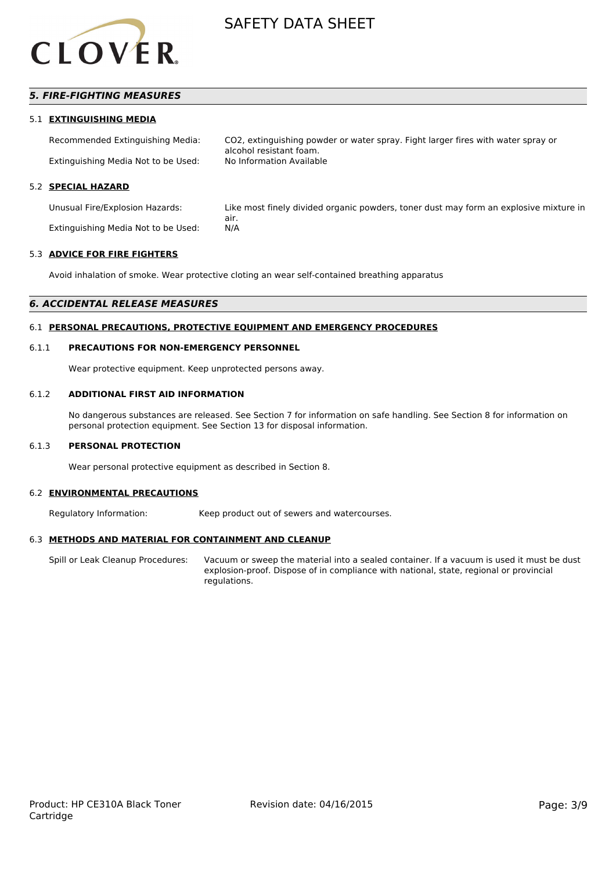

#### *5. FIRE-FIGHTING MEASURES*

#### 5.1 **EXTINGUISHING MEDIA**

Recommended Extinguishing Media: CO2, extinguishing powder or water spray. Fight larger fires with water spray or alcohol resistant foam. Extinguishing Media Not to be Used:

#### 5.2 **SPECIAL HAZARD**

Unusual Fire/Explosion Hazards: Like most finely divided organic powders, toner dust may form an explosive mixture in air. Extinguishing Media Not to be Used: N/A

#### 5.3 **ADVICE FOR FIRE FIGHTERS**

Avoid inhalation of smoke. Wear protective cloting an wear self-contained breathing apparatus

#### *6. ACCIDENTAL RELEASE MEASURES*

#### 6.1 **PERSONAL PRECAUTIONS, PROTECTIVE EQUIPMENT AND EMERGENCY PROCEDURES**

#### 6.1.1 **PRECAUTIONS FOR NON-EMERGENCY PERSONNEL**

Wear protective equipment. Keep unprotected persons away.

#### 6.1.2 **ADDITIONAL FIRST AID INFORMATION**

No dangerous substances are released. See Section 7 for information on safe handling. See Section 8 for information on personal protection equipment. See Section 13 for disposal information.

#### 6.1.3 **PERSONAL PROTECTION**

Wear personal protective equipment as described in Section 8.

#### 6.2 **ENVIRONMENTAL PRECAUTIONS**

Regulatory Information: Keep product out of sewers and watercourses.

#### 6.3 **METHODS AND MATERIAL FOR CONTAINMENT AND CLEANUP**

Spill or Leak Cleanup Procedures: Vacuum or sweep the material into a sealed container. If a vacuum is used it must be dust explosion-proof. Dispose of in compliance with national, state, regional or provincial regulations.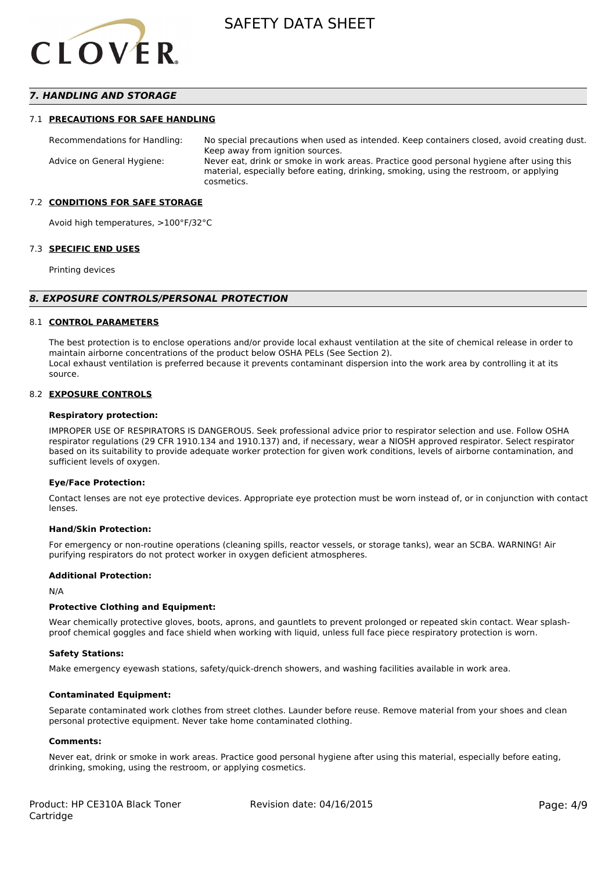

#### *7. HANDLING AND STORAGE*

#### 7.1 **PRECAUTIONS FOR SAFE HANDLING**

Recommendations for Handling: No special precautions when used as intended. Keep containers closed, avoid creating dust. Keep away from ignition sources. Advice on General Hygiene: Never eat, drink or smoke in work areas. Practice good personal hygiene after using this material, especially before eating, drinking, smoking, using the restroom, or applying cosmetics.

#### 7.2 **CONDITIONS FOR SAFE STORAGE**

Avoid high temperatures, >100°F/32°C

#### 7.3 **SPECIFIC END USES**

Printing devices

#### *8. EXPOSURE CONTROLS/PERSONAL PROTECTION*

#### 8.1 **CONTROL PARAMETERS**

The best protection is to enclose operations and/or provide local exhaust ventilation at the site of chemical release in order to maintain airborne concentrations of the product below OSHA PELs (See Section 2). Local exhaust ventilation is preferred because it prevents contaminant dispersion into the work area by controlling it at its source.

#### 8.2 **EXPOSURE CONTROLS**

#### **Respiratory protection:**

IMPROPER USE OF RESPIRATORS IS DANGEROUS. Seek professional advice prior to respirator selection and use. Follow OSHA respirator regulations (29 CFR 1910.134 and 1910.137) and, if necessary, wear a NIOSH approved respirator. Select respirator based on its suitability to provide adequate worker protection for given work conditions, levels of airborne contamination, and sufficient levels of oxygen.

#### **Eye/Face Protection:**

Contact lenses are not eye protective devices. Appropriate eye protection must be worn instead of, or in conjunction with contact lenses.

#### **Hand/Skin Protection:**

For emergency or non-routine operations (cleaning spills, reactor vessels, or storage tanks), wear an SCBA. WARNING! Air purifying respirators do not protect worker in oxygen deficient atmospheres.

#### **Additional Protection:**

N/A

#### **Protective Clothing and Equipment:**

Wear chemically protective gloves, boots, aprons, and gauntlets to prevent prolonged or repeated skin contact. Wear splashproof chemical goggles and face shield when working with liquid, unless full face piece respiratory protection is worn.

#### **Safety Stations:**

Make emergency eyewash stations, safety/quick-drench showers, and washing facilities available in work area.

#### **Contaminated Equipment:**

Separate contaminated work clothes from street clothes. Launder before reuse. Remove material from your shoes and clean personal protective equipment. Never take home contaminated clothing.

#### **Comments:**

Never eat, drink or smoke in work areas. Practice good personal hygiene after using this material, especially before eating, drinking, smoking, using the restroom, or applying cosmetics.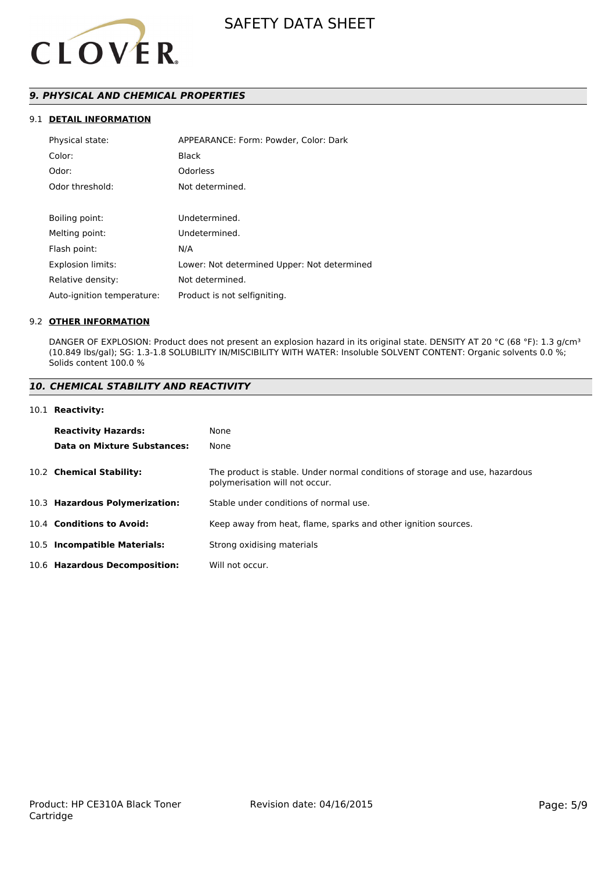

### *9. PHYSICAL AND CHEMICAL PROPERTIES*

#### 9.1 **DETAIL INFORMATION**

| APPEARANCE: Form: Powder, Color: Dark       |
|---------------------------------------------|
| <b>Black</b>                                |
| Odorless                                    |
| Not determined.                             |
|                                             |
| Undetermined.                               |
| Undetermined.                               |
| N/A                                         |
| Lower: Not determined Upper: Not determined |
| Not determined.                             |
| Product is not selfigniting.                |
|                                             |

#### 9.2 **OTHER INFORMATION**

DANGER OF EXPLOSION: Product does not present an explosion hazard in its original state. DENSITY AT 20 °C (68 °F): 1.3 g/cm<sup>3</sup> (10.849 lbs/gal); SG: 1.3-1.8 SOLUBILITY IN/MISCIBILITY WITH WATER: Insoluble SOLVENT CONTENT: Organic solvents 0.0 %; Solids content 100.0 %

#### *10. CHEMICAL STABILITY AND REACTIVITY*

#### 10.1 **Reactivity:**

| <b>Reactivity Hazards:</b>     | None                                                                                                           |
|--------------------------------|----------------------------------------------------------------------------------------------------------------|
| Data on Mixture Substances:    | None                                                                                                           |
| 10.2 Chemical Stability:       | The product is stable. Under normal conditions of storage and use, hazardous<br>polymerisation will not occur. |
| 10.3 Hazardous Polymerization: | Stable under conditions of normal use.                                                                         |
| 10.4 Conditions to Avoid:      | Keep away from heat, flame, sparks and other ignition sources.                                                 |
| 10.5 Incompatible Materials:   | Strong oxidising materials                                                                                     |
| 10.6 Hazardous Decomposition:  | Will not occur.                                                                                                |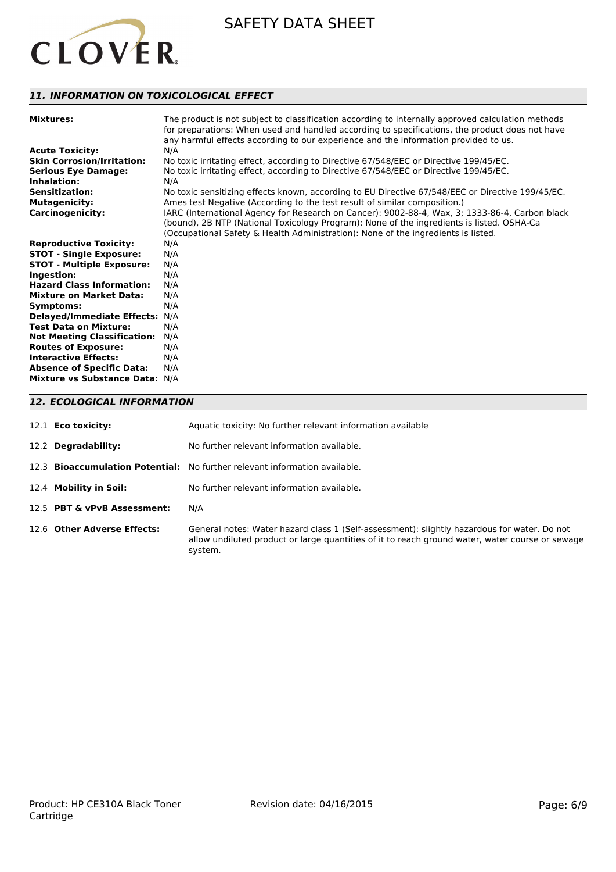

#### *11. INFORMATION ON TOXICOLOGICAL EFFECT*

| <b>Mixtures:</b>                   | The product is not subject to classification according to internally approved calculation methods<br>for preparations: When used and handled according to specifications, the product does not have<br>any harmful effects according to our experience and the information provided to us. |
|------------------------------------|--------------------------------------------------------------------------------------------------------------------------------------------------------------------------------------------------------------------------------------------------------------------------------------------|
| <b>Acute Toxicity:</b>             | N/A                                                                                                                                                                                                                                                                                        |
| <b>Skin Corrosion/Irritation:</b>  | No toxic irritating effect, according to Directive 67/548/EEC or Directive 199/45/EC.                                                                                                                                                                                                      |
| <b>Serious Eye Damage:</b>         | No toxic irritating effect, according to Directive 67/548/EEC or Directive 199/45/EC.                                                                                                                                                                                                      |
| Inhalation:                        | N/A                                                                                                                                                                                                                                                                                        |
| <b>Sensitization:</b>              | No toxic sensitizing effects known, according to EU Directive 67/548/EEC or Directive 199/45/EC.                                                                                                                                                                                           |
| <b>Mutagenicity:</b>               | Ames test Negative (According to the test result of similar composition.)                                                                                                                                                                                                                  |
| <b>Carcinogenicity:</b>            | IARC (International Agency for Research on Cancer): 9002-88-4, Wax, 3; 1333-86-4, Carbon black<br>(bound), 2B NTP (National Toxicology Program): None of the ingredients is listed. OSHA-Ca                                                                                                |
|                                    | (Occupational Safety & Health Administration): None of the ingredients is listed.                                                                                                                                                                                                          |
| <b>Reproductive Toxicity:</b>      | N/A                                                                                                                                                                                                                                                                                        |
| <b>STOT - Single Exposure:</b>     | N/A                                                                                                                                                                                                                                                                                        |
| <b>STOT - Multiple Exposure:</b>   | N/A                                                                                                                                                                                                                                                                                        |
| Ingestion:                         | N/A                                                                                                                                                                                                                                                                                        |
| <b>Hazard Class Information:</b>   | N/A                                                                                                                                                                                                                                                                                        |
|                                    |                                                                                                                                                                                                                                                                                            |
| <b>Mixture on Market Data:</b>     | N/A                                                                                                                                                                                                                                                                                        |
| Symptoms:                          | N/A                                                                                                                                                                                                                                                                                        |
| Delayed/Immediate Effects: N/A     |                                                                                                                                                                                                                                                                                            |
| <b>Test Data on Mixture:</b>       | N/A                                                                                                                                                                                                                                                                                        |
| <b>Not Meeting Classification:</b> | N/A                                                                                                                                                                                                                                                                                        |
| <b>Routes of Exposure:</b>         | N/A                                                                                                                                                                                                                                                                                        |
| <b>Interactive Effects:</b>        | N/A                                                                                                                                                                                                                                                                                        |
| <b>Absence of Specific Data:</b>   | N/A                                                                                                                                                                                                                                                                                        |
| Mixture vs Substance Data: N/A     |                                                                                                                                                                                                                                                                                            |

#### *12. ECOLOGICAL INFORMATION*

| 12.1 <b>Eco toxicity:</b>   | Aquatic toxicity: No further relevant information available                                                                                                                                               |
|-----------------------------|-----------------------------------------------------------------------------------------------------------------------------------------------------------------------------------------------------------|
| 12.2 <b>Degradability:</b>  | No further relevant information available.                                                                                                                                                                |
|                             | 12.3 <b>Bioaccumulation Potential:</b> No further relevant information available.                                                                                                                         |
| 12.4 Mobility in Soil:      | No further relevant information available.                                                                                                                                                                |
| 12.5 PBT & vPvB Assessment: | N/A                                                                                                                                                                                                       |
| 12.6 Other Adverse Effects: | General notes: Water hazard class 1 (Self-assessment): slightly hazardous for water. Do not<br>allow undiluted product or large quantities of it to reach ground water, water course or sewage<br>system. |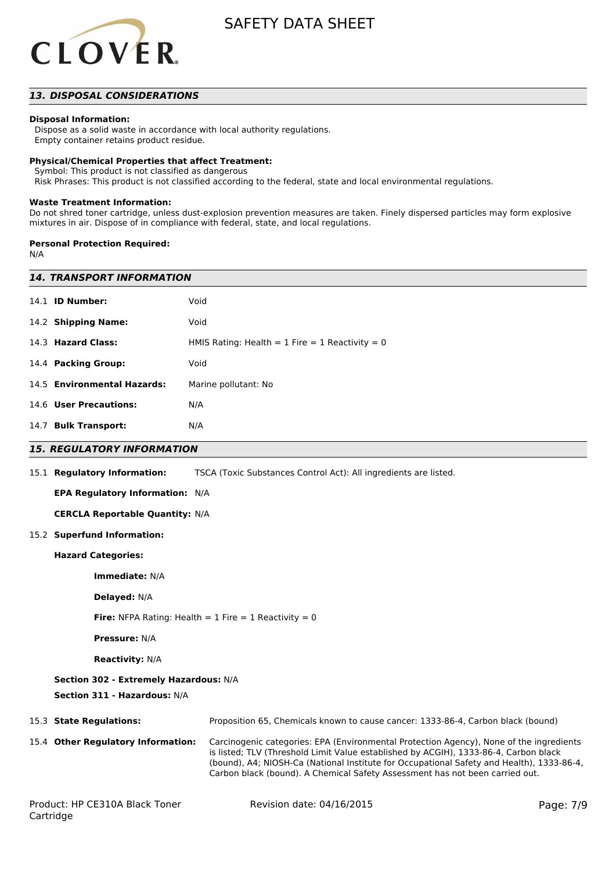

#### *13. DISPOSAL CONSIDERATIONS*

#### **Disposal Information:**

 Dispose as a solid waste in accordance with local authority regulations. Empty container retains product residue.

#### **Physical/Chemical Properties that affect Treatment:**

Symbol: This product is not classified as dangerous

Risk Phrases: This product is not classified according to the federal, state and local environmental regulations.

#### **Waste Treatment Information:**

Do not shred toner cartridge, unless dust-explosion prevention measures are taken. Finely dispersed particles may form explosive mixtures in air. Dispose of in compliance with federal, state, and local regulations.

#### **Personal Protection Required:**

N/A

|           | <b>14. TRANSPORT INFORMATION</b>                                       |                                                                                                                                                                                                                                                                                                                                                              |           |  |  |
|-----------|------------------------------------------------------------------------|--------------------------------------------------------------------------------------------------------------------------------------------------------------------------------------------------------------------------------------------------------------------------------------------------------------------------------------------------------------|-----------|--|--|
|           | 14.1 <b>ID Number:</b>                                                 | Void                                                                                                                                                                                                                                                                                                                                                         |           |  |  |
|           | 14.2 Shipping Name:                                                    | Void                                                                                                                                                                                                                                                                                                                                                         |           |  |  |
|           | 14.3 Hazard Class:                                                     | HMIS Rating: Health = $1$ Fire = $1$ Reactivity = 0                                                                                                                                                                                                                                                                                                          |           |  |  |
|           | 14.4 Packing Group:                                                    | Void                                                                                                                                                                                                                                                                                                                                                         |           |  |  |
|           | 14.5 Environmental Hazards:                                            | Marine pollutant: No                                                                                                                                                                                                                                                                                                                                         |           |  |  |
|           | 14.6 User Precautions:                                                 | N/A                                                                                                                                                                                                                                                                                                                                                          |           |  |  |
|           | 14.7 Bulk Transport:                                                   | N/A                                                                                                                                                                                                                                                                                                                                                          |           |  |  |
|           | <b>15. REGULATORY INFORMATION</b>                                      |                                                                                                                                                                                                                                                                                                                                                              |           |  |  |
|           | 15.1 Regulatory Information:                                           | TSCA (Toxic Substances Control Act): All ingredients are listed.                                                                                                                                                                                                                                                                                             |           |  |  |
|           | EPA Regulatory Information: N/A                                        |                                                                                                                                                                                                                                                                                                                                                              |           |  |  |
|           | <b>CERCLA Reportable Quantity: N/A</b>                                 |                                                                                                                                                                                                                                                                                                                                                              |           |  |  |
|           | 15.2 Superfund Information:                                            |                                                                                                                                                                                                                                                                                                                                                              |           |  |  |
|           | <b>Hazard Categories:</b>                                              |                                                                                                                                                                                                                                                                                                                                                              |           |  |  |
|           | Immediate: N/A                                                         |                                                                                                                                                                                                                                                                                                                                                              |           |  |  |
|           | Delayed: N/A                                                           |                                                                                                                                                                                                                                                                                                                                                              |           |  |  |
|           | <b>Fire:</b> NFPA Rating: Health = $1$ Fire = $1$ Reactivity = 0       |                                                                                                                                                                                                                                                                                                                                                              |           |  |  |
|           | <b>Pressure: N/A</b>                                                   |                                                                                                                                                                                                                                                                                                                                                              |           |  |  |
|           | <b>Reactivity: N/A</b>                                                 |                                                                                                                                                                                                                                                                                                                                                              |           |  |  |
|           | Section 302 - Extremely Hazardous: N/A<br>Section 311 - Hazardous: N/A |                                                                                                                                                                                                                                                                                                                                                              |           |  |  |
|           | 15.3 State Regulations:                                                | Proposition 65, Chemicals known to cause cancer: 1333-86-4, Carbon black (bound)                                                                                                                                                                                                                                                                             |           |  |  |
|           | 15.4 Other Regulatory Information:                                     | Carcinogenic categories: EPA (Environmental Protection Agency), None of the ingredients<br>is listed; TLV (Threshold Limit Value established by ACGIH), 1333-86-4, Carbon black<br>(bound), A4; NIOSH-Ca (National Institute for Occupational Safety and Health), 1333-86-4,<br>Carbon black (bound). A Chemical Safety Assessment has not been carried out. |           |  |  |
| Cartridge | Product: HP CE310A Black Toner                                         | Revision date: 04/16/2015                                                                                                                                                                                                                                                                                                                                    | Page: 7/9 |  |  |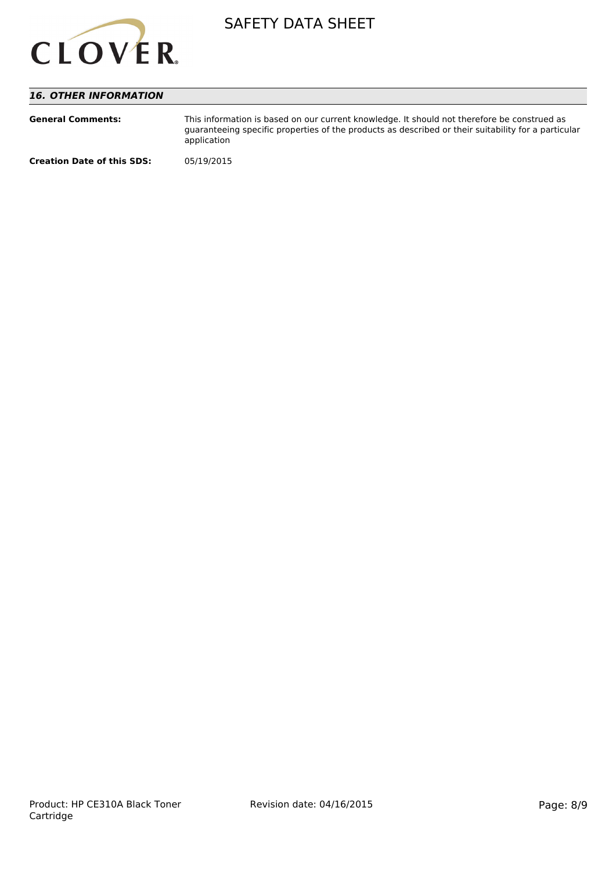

#### *16. OTHER INFORMATION*

| <b>General Comments:</b>          | This information is based on our current knowledge. It should not therefore be construed as<br>guaranteeing specific properties of the products as described or their suitability for a particular<br>application |
|-----------------------------------|-------------------------------------------------------------------------------------------------------------------------------------------------------------------------------------------------------------------|
| <b>Creation Date of this SDS:</b> | 05/19/2015                                                                                                                                                                                                        |